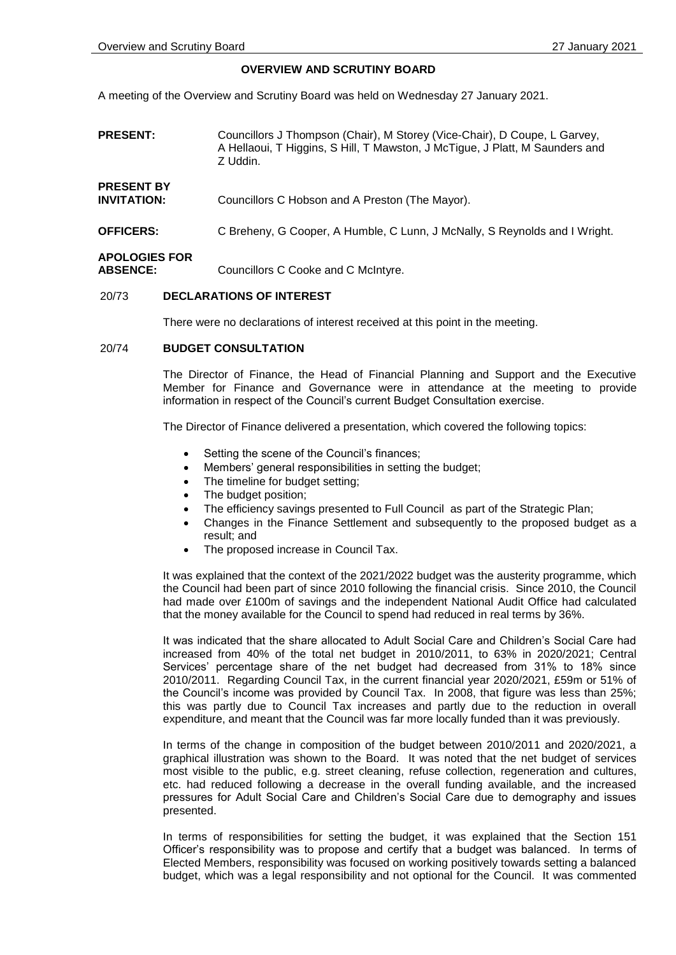#### **OVERVIEW AND SCRUTINY BOARD**

A meeting of the Overview and Scrutiny Board was held on Wednesday 27 January 2021.

| <b>PRESENT:</b>                         | Councillors J Thompson (Chair), M Storey (Vice-Chair), D Coupe, L Garvey,<br>A Hellaoui, T Higgins, S Hill, T Mawston, J McTigue, J Platt, M Saunders and<br>Z Uddin. |
|-----------------------------------------|-----------------------------------------------------------------------------------------------------------------------------------------------------------------------|
| <b>PRESENT BY</b><br><b>INVITATION:</b> | Councillors C Hobson and A Preston (The Mayor).                                                                                                                       |
| <b>OFFICERS:</b>                        | C Breheny, G Cooper, A Humble, C Lunn, J McNally, S Reynolds and I Wright.                                                                                            |
|                                         |                                                                                                                                                                       |

# **APOLOGIES FOR**

**ABSENCE:** Councillors C Cooke and C McIntyre.

#### 20/73 **DECLARATIONS OF INTEREST**

There were no declarations of interest received at this point in the meeting.

## 20/74 **BUDGET CONSULTATION**

The Director of Finance, the Head of Financial Planning and Support and the Executive Member for Finance and Governance were in attendance at the meeting to provide information in respect of the Council's current Budget Consultation exercise.

The Director of Finance delivered a presentation, which covered the following topics:

- Setting the scene of the Council's finances;
- Members' general responsibilities in setting the budget;
- The timeline for budget setting;
- The budget position;
- The efficiency savings presented to Full Council as part of the Strategic Plan;
- Changes in the Finance Settlement and subsequently to the proposed budget as a result; and
- The proposed increase in Council Tax.

It was explained that the context of the 2021/2022 budget was the austerity programme, which the Council had been part of since 2010 following the financial crisis. Since 2010, the Council had made over £100m of savings and the independent National Audit Office had calculated that the money available for the Council to spend had reduced in real terms by 36%.

It was indicated that the share allocated to Adult Social Care and Children's Social Care had increased from 40% of the total net budget in 2010/2011, to 63% in 2020/2021; Central Services' percentage share of the net budget had decreased from 31% to 18% since 2010/2011. Regarding Council Tax, in the current financial year 2020/2021, £59m or 51% of the Council's income was provided by Council Tax. In 2008, that figure was less than 25%; this was partly due to Council Tax increases and partly due to the reduction in overall expenditure, and meant that the Council was far more locally funded than it was previously.

In terms of the change in composition of the budget between 2010/2011 and 2020/2021, a graphical illustration was shown to the Board. It was noted that the net budget of services most visible to the public, e.g. street cleaning, refuse collection, regeneration and cultures, etc. had reduced following a decrease in the overall funding available, and the increased pressures for Adult Social Care and Children's Social Care due to demography and issues presented.

In terms of responsibilities for setting the budget, it was explained that the Section 151 Officer's responsibility was to propose and certify that a budget was balanced. In terms of Elected Members, responsibility was focused on working positively towards setting a balanced budget, which was a legal responsibility and not optional for the Council. It was commented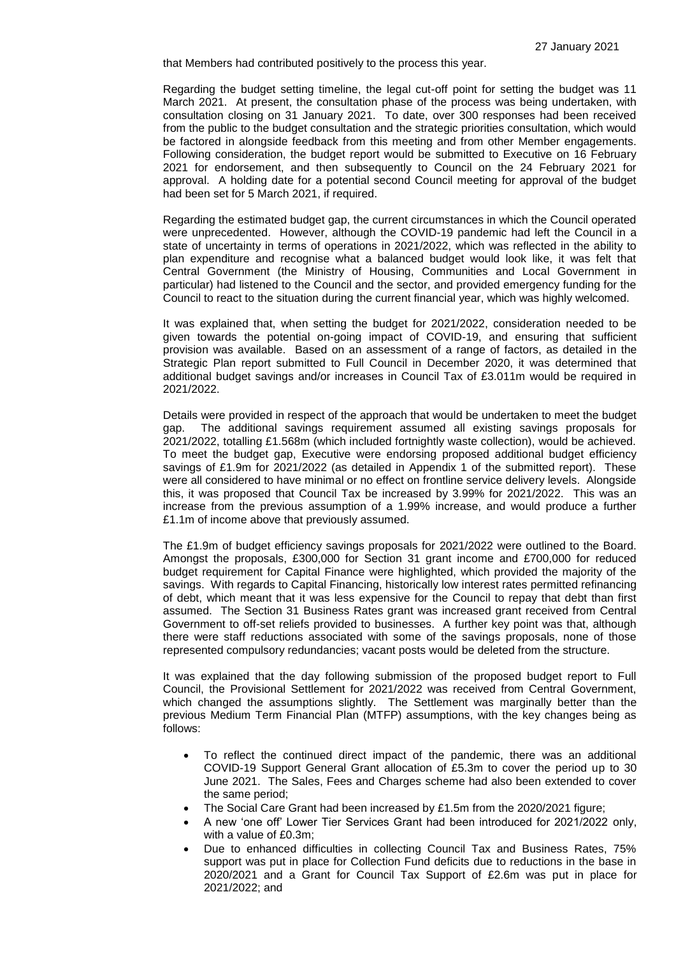that Members had contributed positively to the process this year.

Regarding the budget setting timeline, the legal cut-off point for setting the budget was 11 March 2021. At present, the consultation phase of the process was being undertaken, with consultation closing on 31 January 2021. To date, over 300 responses had been received from the public to the budget consultation and the strategic priorities consultation, which would be factored in alongside feedback from this meeting and from other Member engagements. Following consideration, the budget report would be submitted to Executive on 16 February 2021 for endorsement, and then subsequently to Council on the 24 February 2021 for approval. A holding date for a potential second Council meeting for approval of the budget had been set for 5 March 2021, if required.

Regarding the estimated budget gap, the current circumstances in which the Council operated were unprecedented. However, although the COVID-19 pandemic had left the Council in a state of uncertainty in terms of operations in 2021/2022, which was reflected in the ability to plan expenditure and recognise what a balanced budget would look like, it was felt that Central Government (the Ministry of Housing, Communities and Local Government in particular) had listened to the Council and the sector, and provided emergency funding for the Council to react to the situation during the current financial year, which was highly welcomed.

It was explained that, when setting the budget for 2021/2022, consideration needed to be given towards the potential on-going impact of COVID-19, and ensuring that sufficient provision was available. Based on an assessment of a range of factors, as detailed in the Strategic Plan report submitted to Full Council in December 2020, it was determined that additional budget savings and/or increases in Council Tax of £3.011m would be required in 2021/2022.

Details were provided in respect of the approach that would be undertaken to meet the budget gap. The additional savings requirement assumed all existing savings proposals for 2021/2022, totalling £1.568m (which included fortnightly waste collection), would be achieved. To meet the budget gap, Executive were endorsing proposed additional budget efficiency savings of £1.9m for 2021/2022 (as detailed in Appendix 1 of the submitted report). These were all considered to have minimal or no effect on frontline service delivery levels. Alongside this, it was proposed that Council Tax be increased by 3.99% for 2021/2022. This was an increase from the previous assumption of a 1.99% increase, and would produce a further £1.1m of income above that previously assumed.

The £1.9m of budget efficiency savings proposals for 2021/2022 were outlined to the Board. Amongst the proposals, £300,000 for Section 31 grant income and £700,000 for reduced budget requirement for Capital Finance were highlighted, which provided the majority of the savings. With regards to Capital Financing, historically low interest rates permitted refinancing of debt, which meant that it was less expensive for the Council to repay that debt than first assumed. The Section 31 Business Rates grant was increased grant received from Central Government to off-set reliefs provided to businesses. A further key point was that, although there were staff reductions associated with some of the savings proposals, none of those represented compulsory redundancies; vacant posts would be deleted from the structure.

It was explained that the day following submission of the proposed budget report to Full Council, the Provisional Settlement for 2021/2022 was received from Central Government, which changed the assumptions slightly. The Settlement was marginally better than the previous Medium Term Financial Plan (MTFP) assumptions, with the key changes being as follows:

- To reflect the continued direct impact of the pandemic, there was an additional COVID-19 Support General Grant allocation of £5.3m to cover the period up to 30 June 2021. The Sales, Fees and Charges scheme had also been extended to cover the same period;
- The Social Care Grant had been increased by £1.5m from the 2020/2021 figure;
- A new 'one off' Lower Tier Services Grant had been introduced for 2021/2022 only, with a value of £0.3m;
- Due to enhanced difficulties in collecting Council Tax and Business Rates, 75% support was put in place for Collection Fund deficits due to reductions in the base in 2020/2021 and a Grant for Council Tax Support of £2.6m was put in place for 2021/2022; and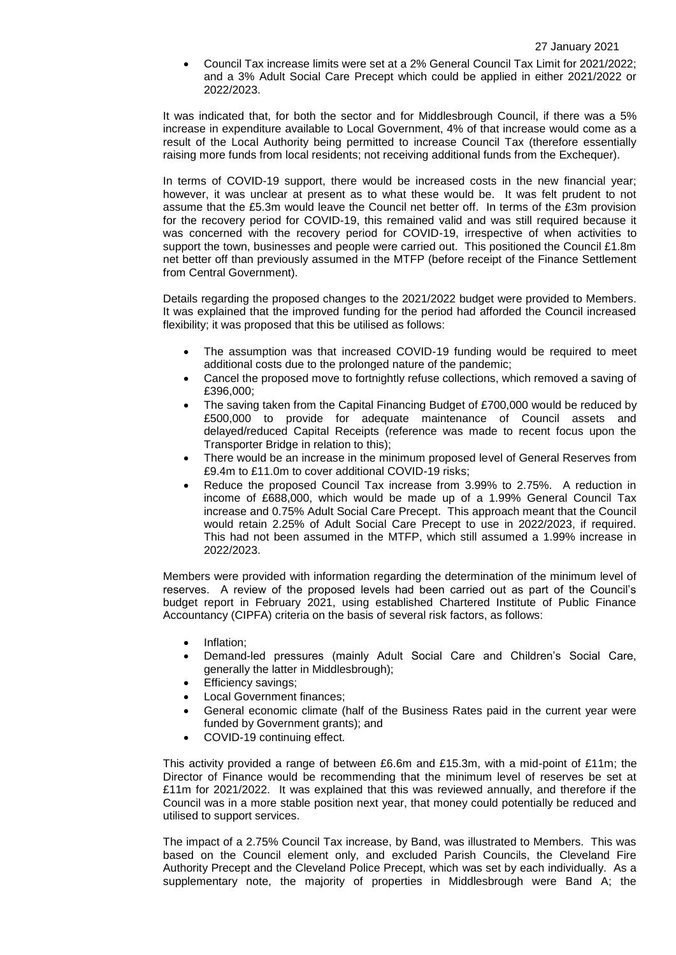Council Tax increase limits were set at a 2% General Council Tax Limit for 2021/2022; and a 3% Adult Social Care Precept which could be applied in either 2021/2022 or 2022/2023.

It was indicated that, for both the sector and for Middlesbrough Council, if there was a 5% increase in expenditure available to Local Government, 4% of that increase would come as a result of the Local Authority being permitted to increase Council Tax (therefore essentially raising more funds from local residents; not receiving additional funds from the Exchequer).

In terms of COVID-19 support, there would be increased costs in the new financial year; however, it was unclear at present as to what these would be. It was felt prudent to not assume that the £5.3m would leave the Council net better off. In terms of the £3m provision for the recovery period for COVID-19, this remained valid and was still required because it was concerned with the recovery period for COVID-19, irrespective of when activities to support the town, businesses and people were carried out. This positioned the Council £1.8m net better off than previously assumed in the MTFP (before receipt of the Finance Settlement from Central Government).

Details regarding the proposed changes to the 2021/2022 budget were provided to Members. It was explained that the improved funding for the period had afforded the Council increased flexibility; it was proposed that this be utilised as follows:

- The assumption was that increased COVID-19 funding would be required to meet additional costs due to the prolonged nature of the pandemic;
- Cancel the proposed move to fortnightly refuse collections, which removed a saving of £396,000;
- The saving taken from the Capital Financing Budget of £700,000 would be reduced by £500,000 to provide for adequate maintenance of Council assets and delayed/reduced Capital Receipts (reference was made to recent focus upon the Transporter Bridge in relation to this);
- There would be an increase in the minimum proposed level of General Reserves from £9.4m to £11.0m to cover additional COVID-19 risks;
- Reduce the proposed Council Tax increase from 3.99% to 2.75%. A reduction in income of £688,000, which would be made up of a 1.99% General Council Tax increase and 0.75% Adult Social Care Precept. This approach meant that the Council would retain 2.25% of Adult Social Care Precept to use in 2022/2023, if required. This had not been assumed in the MTFP, which still assumed a 1.99% increase in 2022/2023.

Members were provided with information regarding the determination of the minimum level of reserves. A review of the proposed levels had been carried out as part of the Council's budget report in February 2021, using established Chartered Institute of Public Finance Accountancy (CIPFA) criteria on the basis of several risk factors, as follows:

- Inflation;
- Demand-led pressures (mainly Adult Social Care and Children's Social Care, generally the latter in Middlesbrough);
- Efficiency savings;
- Local Government finances;
- General economic climate (half of the Business Rates paid in the current year were funded by Government grants); and
- COVID-19 continuing effect.

This activity provided a range of between £6.6m and £15.3m, with a mid-point of £11m; the Director of Finance would be recommending that the minimum level of reserves be set at £11m for 2021/2022. It was explained that this was reviewed annually, and therefore if the Council was in a more stable position next year, that money could potentially be reduced and utilised to support services.

The impact of a 2.75% Council Tax increase, by Band, was illustrated to Members. This was based on the Council element only, and excluded Parish Councils, the Cleveland Fire Authority Precept and the Cleveland Police Precept, which was set by each individually. As a supplementary note, the majority of properties in Middlesbrough were Band A; the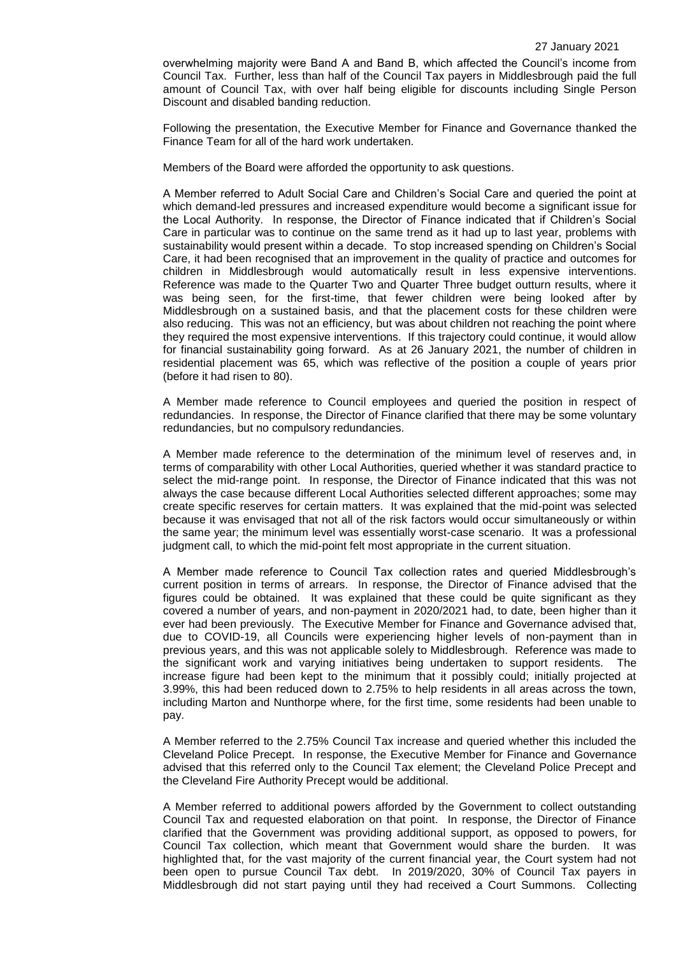overwhelming majority were Band A and Band B, which affected the Council's income from Council Tax. Further, less than half of the Council Tax payers in Middlesbrough paid the full amount of Council Tax, with over half being eligible for discounts including Single Person Discount and disabled banding reduction.

Following the presentation, the Executive Member for Finance and Governance thanked the Finance Team for all of the hard work undertaken.

Members of the Board were afforded the opportunity to ask questions.

A Member referred to Adult Social Care and Children's Social Care and queried the point at which demand-led pressures and increased expenditure would become a significant issue for the Local Authority. In response, the Director of Finance indicated that if Children's Social Care in particular was to continue on the same trend as it had up to last year, problems with sustainability would present within a decade. To stop increased spending on Children's Social Care, it had been recognised that an improvement in the quality of practice and outcomes for children in Middlesbrough would automatically result in less expensive interventions. Reference was made to the Quarter Two and Quarter Three budget outturn results, where it was being seen, for the first-time, that fewer children were being looked after by Middlesbrough on a sustained basis, and that the placement costs for these children were also reducing. This was not an efficiency, but was about children not reaching the point where they required the most expensive interventions. If this trajectory could continue, it would allow for financial sustainability going forward. As at 26 January 2021, the number of children in residential placement was 65, which was reflective of the position a couple of years prior (before it had risen to 80).

A Member made reference to Council employees and queried the position in respect of redundancies. In response, the Director of Finance clarified that there may be some voluntary redundancies, but no compulsory redundancies.

A Member made reference to the determination of the minimum level of reserves and, in terms of comparability with other Local Authorities, queried whether it was standard practice to select the mid-range point. In response, the Director of Finance indicated that this was not always the case because different Local Authorities selected different approaches; some may create specific reserves for certain matters. It was explained that the mid-point was selected because it was envisaged that not all of the risk factors would occur simultaneously or within the same year; the minimum level was essentially worst-case scenario. It was a professional judgment call, to which the mid-point felt most appropriate in the current situation.

A Member made reference to Council Tax collection rates and queried Middlesbrough's current position in terms of arrears. In response, the Director of Finance advised that the figures could be obtained. It was explained that these could be quite significant as they covered a number of years, and non-payment in 2020/2021 had, to date, been higher than it ever had been previously. The Executive Member for Finance and Governance advised that, due to COVID-19, all Councils were experiencing higher levels of non-payment than in previous years, and this was not applicable solely to Middlesbrough. Reference was made to the significant work and varying initiatives being undertaken to support residents. The increase figure had been kept to the minimum that it possibly could; initially projected at 3.99%, this had been reduced down to 2.75% to help residents in all areas across the town, including Marton and Nunthorpe where, for the first time, some residents had been unable to pay.

A Member referred to the 2.75% Council Tax increase and queried whether this included the Cleveland Police Precept. In response, the Executive Member for Finance and Governance advised that this referred only to the Council Tax element; the Cleveland Police Precept and the Cleveland Fire Authority Precept would be additional.

A Member referred to additional powers afforded by the Government to collect outstanding Council Tax and requested elaboration on that point. In response, the Director of Finance clarified that the Government was providing additional support, as opposed to powers, for Council Tax collection, which meant that Government would share the burden. It was highlighted that, for the vast majority of the current financial year, the Court system had not been open to pursue Council Tax debt. In 2019/2020, 30% of Council Tax payers in Middlesbrough did not start paying until they had received a Court Summons. Collecting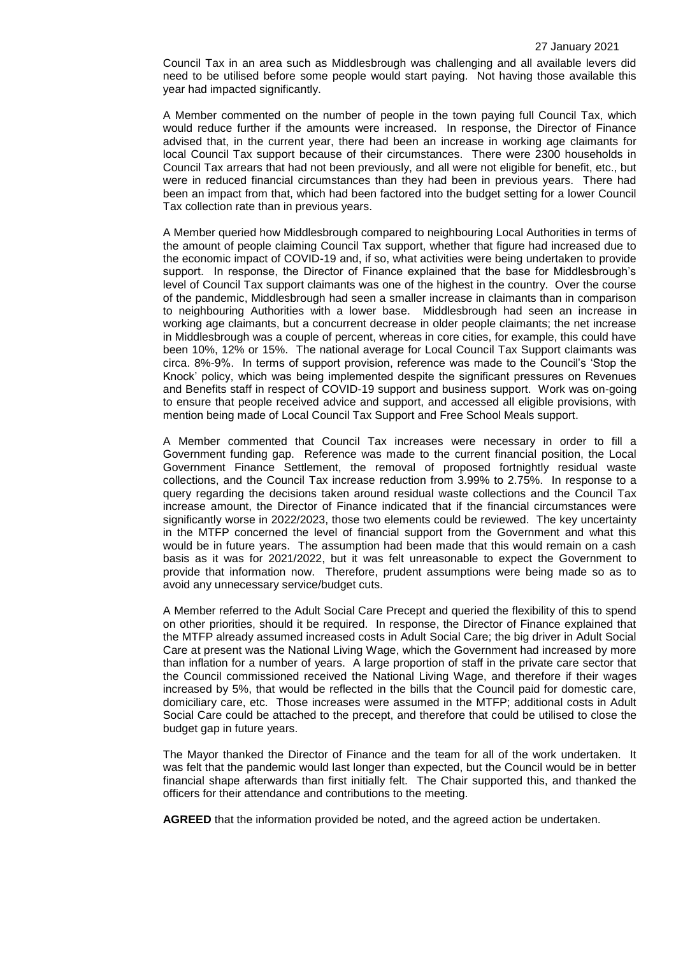Council Tax in an area such as Middlesbrough was challenging and all available levers did need to be utilised before some people would start paying. Not having those available this year had impacted significantly.

A Member commented on the number of people in the town paying full Council Tax, which would reduce further if the amounts were increased. In response, the Director of Finance advised that, in the current year, there had been an increase in working age claimants for local Council Tax support because of their circumstances. There were 2300 households in Council Tax arrears that had not been previously, and all were not eligible for benefit, etc., but were in reduced financial circumstances than they had been in previous years. There had been an impact from that, which had been factored into the budget setting for a lower Council Tax collection rate than in previous years.

A Member queried how Middlesbrough compared to neighbouring Local Authorities in terms of the amount of people claiming Council Tax support, whether that figure had increased due to the economic impact of COVID-19 and, if so, what activities were being undertaken to provide support. In response, the Director of Finance explained that the base for Middlesbrough's level of Council Tax support claimants was one of the highest in the country. Over the course of the pandemic, Middlesbrough had seen a smaller increase in claimants than in comparison to neighbouring Authorities with a lower base. Middlesbrough had seen an increase in working age claimants, but a concurrent decrease in older people claimants; the net increase in Middlesbrough was a couple of percent, whereas in core cities, for example, this could have been 10%, 12% or 15%. The national average for Local Council Tax Support claimants was circa. 8%-9%. In terms of support provision, reference was made to the Council's 'Stop the Knock' policy, which was being implemented despite the significant pressures on Revenues and Benefits staff in respect of COVID-19 support and business support. Work was on-going to ensure that people received advice and support, and accessed all eligible provisions, with mention being made of Local Council Tax Support and Free School Meals support.

A Member commented that Council Tax increases were necessary in order to fill a Government funding gap. Reference was made to the current financial position, the Local Government Finance Settlement, the removal of proposed fortnightly residual waste collections, and the Council Tax increase reduction from 3.99% to 2.75%. In response to a query regarding the decisions taken around residual waste collections and the Council Tax increase amount, the Director of Finance indicated that if the financial circumstances were significantly worse in 2022/2023, those two elements could be reviewed. The key uncertainty in the MTFP concerned the level of financial support from the Government and what this would be in future years. The assumption had been made that this would remain on a cash basis as it was for 2021/2022, but it was felt unreasonable to expect the Government to provide that information now. Therefore, prudent assumptions were being made so as to avoid any unnecessary service/budget cuts.

A Member referred to the Adult Social Care Precept and queried the flexibility of this to spend on other priorities, should it be required. In response, the Director of Finance explained that the MTFP already assumed increased costs in Adult Social Care; the big driver in Adult Social Care at present was the National Living Wage, which the Government had increased by more than inflation for a number of years. A large proportion of staff in the private care sector that the Council commissioned received the National Living Wage, and therefore if their wages increased by 5%, that would be reflected in the bills that the Council paid for domestic care, domiciliary care, etc. Those increases were assumed in the MTFP; additional costs in Adult Social Care could be attached to the precept, and therefore that could be utilised to close the budget gap in future years.

The Mayor thanked the Director of Finance and the team for all of the work undertaken. It was felt that the pandemic would last longer than expected, but the Council would be in better financial shape afterwards than first initially felt. The Chair supported this, and thanked the officers for their attendance and contributions to the meeting.

**AGREED** that the information provided be noted, and the agreed action be undertaken.